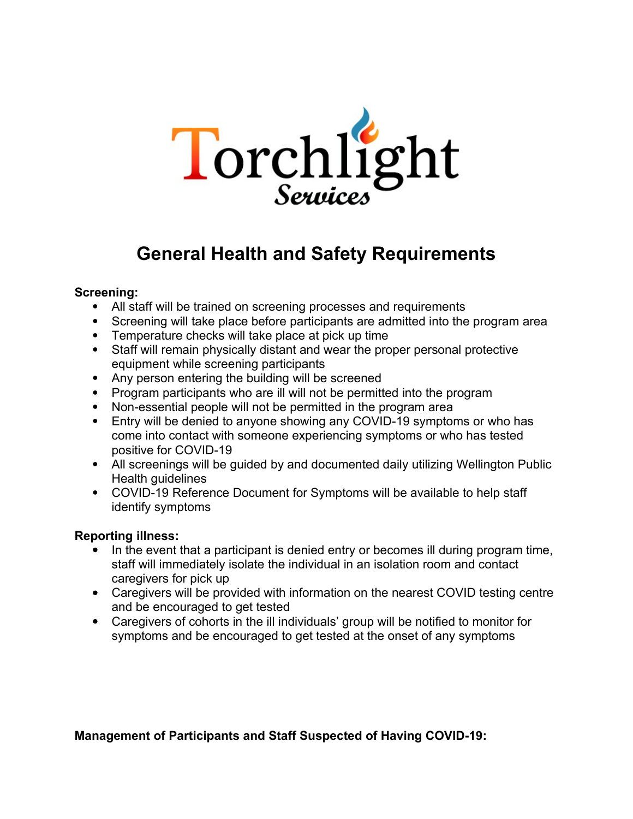

# **General Health and Safety Requirements**

#### **Screening:**

- All staff will be trained on screening processes and requirements
- Screening will take place before participants are admitted into the program area
- Temperature checks will take place at pick up time
- Staff will remain physically distant and wear the proper personal protective equipment while screening participants
- Any person entering the building will be screened
- Program participants who are ill will not be permitted into the program
- Non-essential people will not be permitted in the program area
- Entry will be denied to anyone showing any COVID-19 symptoms or who has come into contact with someone experiencing symptoms or who has tested positive for COVID-19
- All screenings will be guided by and documented daily utilizing Wellington Public Health guidelines
- COVID-19 Reference Document for Symptoms will be available to help staff identify symptoms

## **Reporting illness:**

- In the event that a participant is denied entry or becomes ill during program time, staff will immediately isolate the individual in an isolation room and contact caregivers for pick up
- Caregivers will be provided with information on the nearest COVID testing centre and be encouraged to get tested
- Caregivers of cohorts in the ill individuals' group will be notified to monitor for symptoms and be encouraged to get tested at the onset of any symptoms

**Management of Participants and Staff Suspected of Having COVID-19:**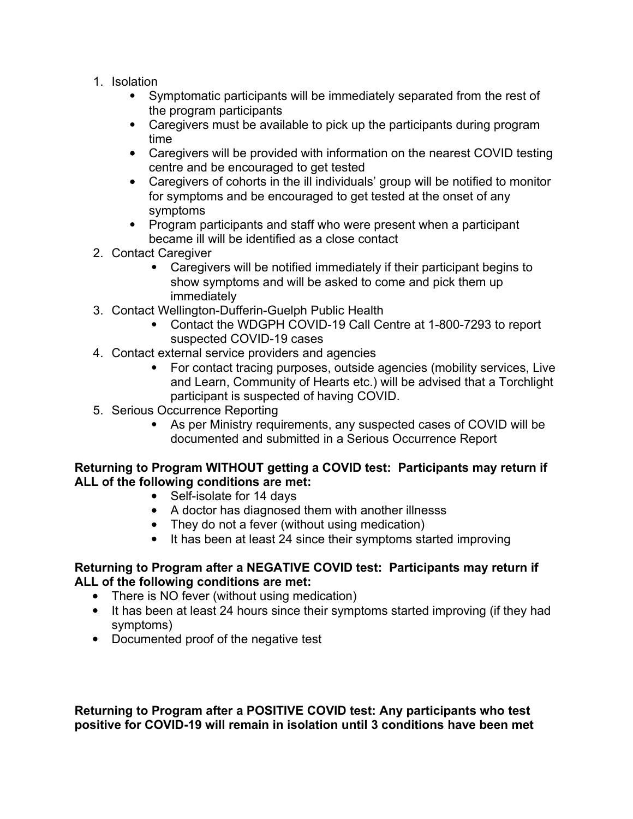- 1. Isolation
	- Symptomatic participants will be immediately separated from the rest of the program participants
	- Caregivers must be available to pick up the participants during program time
	- Caregivers will be provided with information on the nearest COVID testing centre and be encouraged to get tested
	- Caregivers of cohorts in the ill individuals' group will be notified to monitor for symptoms and be encouraged to get tested at the onset of any symptoms
	- Program participants and staff who were present when a participant became ill will be identified as a close contact
- 2. Contact Caregiver
	- Caregivers will be notified immediately if their participant begins to show symptoms and will be asked to come and pick them up immediately
- 3. Contact Wellington-Dufferin-Guelph Public Health
	- Contact the WDGPH COVID-19 Call Centre at 1-800-7293 to report suspected COVID-19 cases
- 4. Contact external service providers and agencies
	- For contact tracing purposes, outside agencies (mobility services, Live and Learn, Community of Hearts etc.) will be advised that a Torchlight participant is suspected of having COVID.
- 5. Serious Occurrence Reporting
	- As per Ministry requirements, any suspected cases of COVID will be documented and submitted in a Serious Occurrence Report

## **Returning to Program WITHOUT getting a COVID test: Participants may return if ALL of the following conditions are met:**

- Self-isolate for 14 days
- A doctor has diagnosed them with another illnesss
- They do not a fever (without using medication)
- It has been at least 24 since their symptoms started improving

### **Returning to Program after a NEGATIVE COVID test: Participants may return if ALL of the following conditions are met:**

- There is NO fever (without using medication)
- It has been at least 24 hours since their symptoms started improving (if they had symptoms)
- Documented proof of the negative test

**Returning to Program after a POSITIVE COVID test: Any participants who test positive for COVID-19 will remain in isolation until 3 conditions have been met**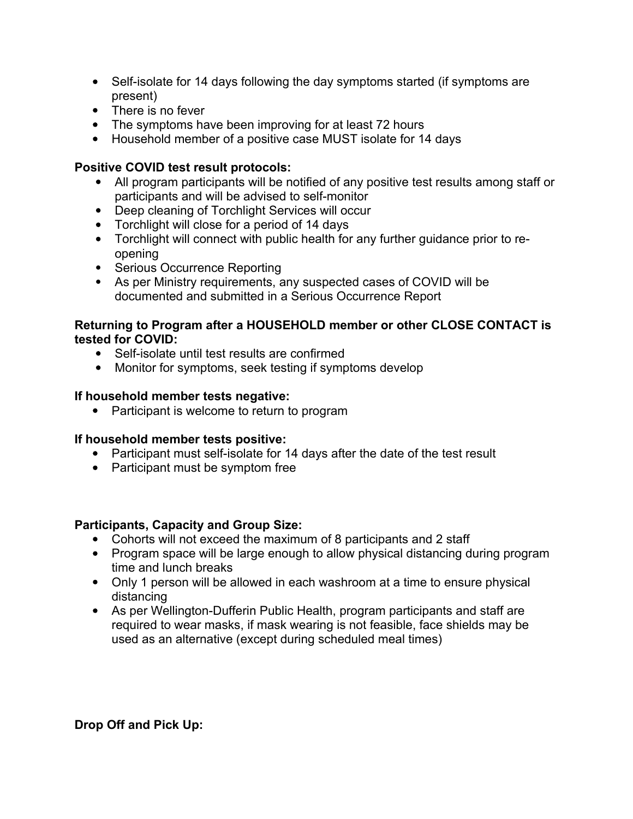- Self-isolate for 14 days following the day symptoms started (if symptoms are present)
- There is no fever
- The symptoms have been improving for at least 72 hours
- Household member of a positive case MUST isolate for 14 days

## **Positive COVID test result protocols:**

- All program participants will be notified of any positive test results among staff or participants and will be advised to self-monitor
- Deep cleaning of Torchlight Services will occur
- Torchlight will close for a period of 14 days
- Torchlight will connect with public health for any further guidance prior to reopening
- Serious Occurrence Reporting
- As per Ministry requirements, any suspected cases of COVID will be documented and submitted in a Serious Occurrence Report

### **Returning to Program after a HOUSEHOLD member or other CLOSE CONTACT is tested for COVID:**

- Self-isolate until test results are confirmed
- Monitor for symptoms, seek testing if symptoms develop

## **If household member tests negative:**

• Participant is welcome to return to program

## **If household member tests positive:**

- Participant must self-isolate for 14 days after the date of the test result
- Participant must be symptom free

## **Participants, Capacity and Group Size:**

- Cohorts will not exceed the maximum of 8 participants and 2 staff
- Program space will be large enough to allow physical distancing during program time and lunch breaks
- Only 1 person will be allowed in each washroom at a time to ensure physical distancing
- As per Wellington-Dufferin Public Health, program participants and staff are required to wear masks, if mask wearing is not feasible, face shields may be used as an alternative (except during scheduled meal times)

**Drop Off and Pick Up:**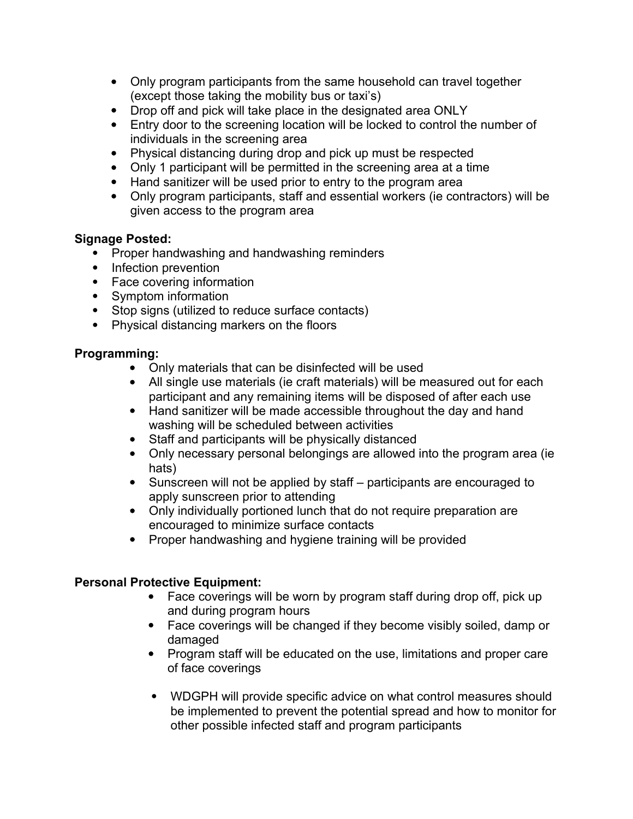- Only program participants from the same household can travel together (except those taking the mobility bus or taxi's)
- Drop off and pick will take place in the designated area ONLY
- Entry door to the screening location will be locked to control the number of individuals in the screening area
- Physical distancing during drop and pick up must be respected
- Only 1 participant will be permitted in the screening area at a time
- Hand sanitizer will be used prior to entry to the program area
- Only program participants, staff and essential workers (ie contractors) will be given access to the program area

### **Signage Posted:**

- Proper handwashing and handwashing reminders
- Infection prevention
- Face covering information
- Symptom information
- Stop signs (utilized to reduce surface contacts)
- Physical distancing markers on the floors

## **Programming:**

- Only materials that can be disinfected will be used
- All single use materials (ie craft materials) will be measured out for each participant and any remaining items will be disposed of after each use
- Hand sanitizer will be made accessible throughout the day and hand washing will be scheduled between activities
- Staff and participants will be physically distanced
- Only necessary personal belongings are allowed into the program area (ie hats)
- Sunscreen will not be applied by staff participants are encouraged to apply sunscreen prior to attending
- Only individually portioned lunch that do not require preparation are encouraged to minimize surface contacts
- Proper handwashing and hygiene training will be provided

## **Personal Protective Equipment:**

- Face coverings will be worn by program staff during drop off, pick up and during program hours
- Face coverings will be changed if they become visibly soiled, damp or damaged
- Program staff will be educated on the use, limitations and proper care of face coverings
- WDGPH will provide specific advice on what control measures should be implemented to prevent the potential spread and how to monitor for other possible infected staff and program participants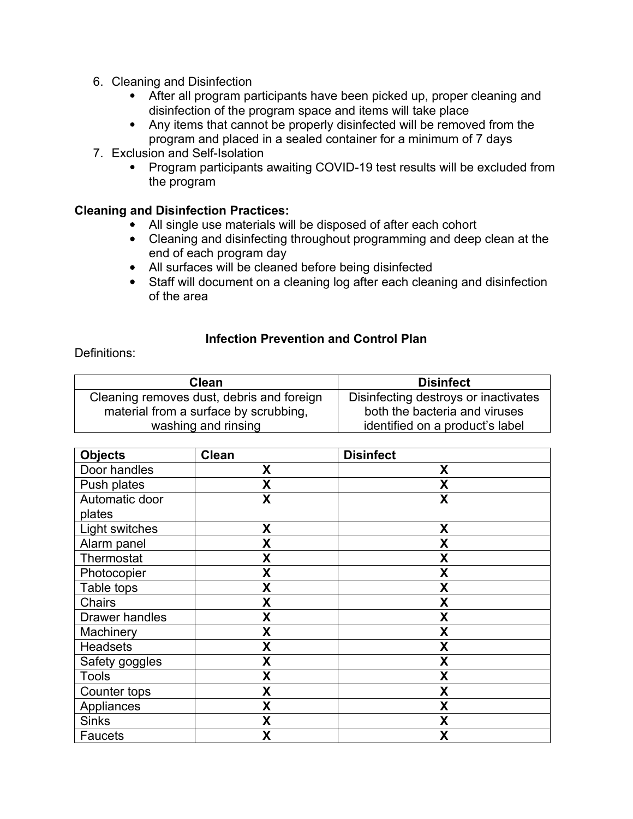- 6. Cleaning and Disinfection
	- After all program participants have been picked up, proper cleaning and disinfection of the program space and items will take place
	- Any items that cannot be properly disinfected will be removed from the program and placed in a sealed container for a minimum of 7 days
- 7. Exclusion and Self-Isolation
	- Program participants awaiting COVID-19 test results will be excluded from the program

### **Cleaning and Disinfection Practices:**

- All single use materials will be disposed of after each cohort
- Cleaning and disinfecting throughout programming and deep clean at the end of each program day
- All surfaces will be cleaned before being disinfected
- Staff will document on a cleaning log after each cleaning and disinfection of the area

### **Infection Prevention and Control Plan**

#### Definitions:

| Clean                                     | <b>Disinfect</b>                     |
|-------------------------------------------|--------------------------------------|
| Cleaning removes dust, debris and foreign | Disinfecting destroys or inactivates |
| material from a surface by scrubbing,     | both the bacteria and viruses        |
| washing and rinsing                       | identified on a product's label      |

| <b>Objects</b>        | <b>Clean</b> | <b>Disinfect</b> |
|-----------------------|--------------|------------------|
| Door handles          | X            | X                |
| Push plates           | X            | X                |
| Automatic door        | X            | X                |
| plates                |              |                  |
| Light switches        | X            | X                |
| Alarm panel           | X            | X                |
| Thermostat            | X            | X                |
| Photocopier           | X            | X                |
| Table tops            | X            | X                |
| Chairs                | X            | X                |
| <b>Drawer handles</b> | X            | X                |
| Machinery             | χ            | X                |
| <b>Headsets</b>       | X            | X                |
| Safety goggles        | X            | X                |
| <b>Tools</b>          | X            | X                |
| Counter tops          | χ            | X                |
| Appliances            | X            | X                |
| <b>Sinks</b>          | X            | X                |
| <b>Faucets</b>        | χ            | X                |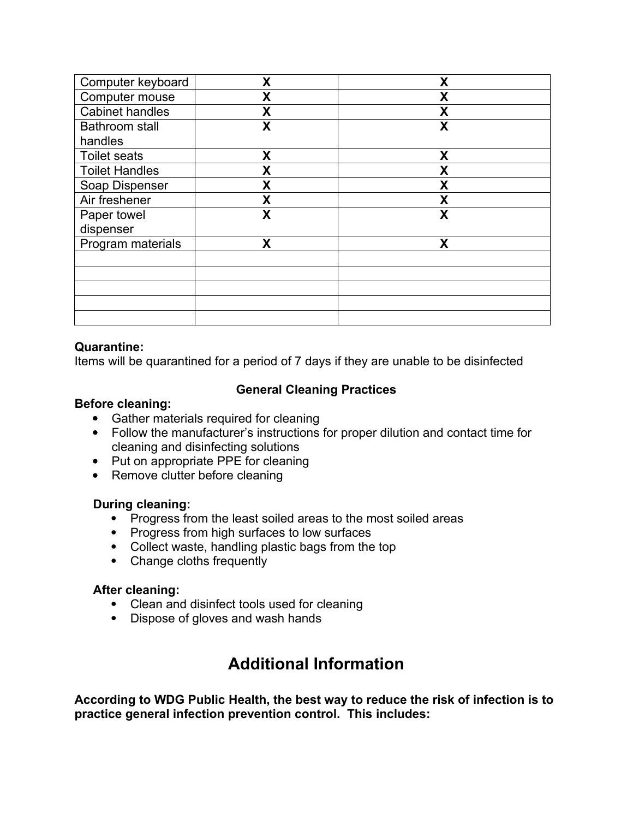| Computer keyboard      | Χ                | X |
|------------------------|------------------|---|
| Computer mouse         | χ                | χ |
| <b>Cabinet handles</b> | Χ                | X |
| Bathroom stall         | χ                | X |
| handles                |                  |   |
| <b>Toilet seats</b>    | X                | X |
| <b>Toilet Handles</b>  | X                | X |
| Soap Dispenser         | X                | X |
| Air freshener          | $\boldsymbol{X}$ | X |
| Paper towel            | X                | X |
| dispenser              |                  |   |
| Program materials      | X                | X |
|                        |                  |   |
|                        |                  |   |
|                        |                  |   |
|                        |                  |   |
|                        |                  |   |

#### **Quarantine:**

Items will be quarantined for a period of 7 days if they are unable to be disinfected

## **General Cleaning Practices**

#### **Before cleaning:**

- Gather materials required for cleaning
- Follow the manufacturer's instructions for proper dilution and contact time for cleaning and disinfecting solutions
- Put on appropriate PPE for cleaning
- Remove clutter before cleaning

#### **During cleaning:**

- Progress from the least soiled areas to the most soiled areas
- Progress from high surfaces to low surfaces
- Collect waste, handling plastic bags from the top
- Change cloths frequently

#### **After cleaning:**

- Clean and disinfect tools used for cleaning
- Dispose of gloves and wash hands

## **Additional Information**

**According to WDG Public Health, the best way to reduce the risk of infection is to practice general infection prevention control. This includes:**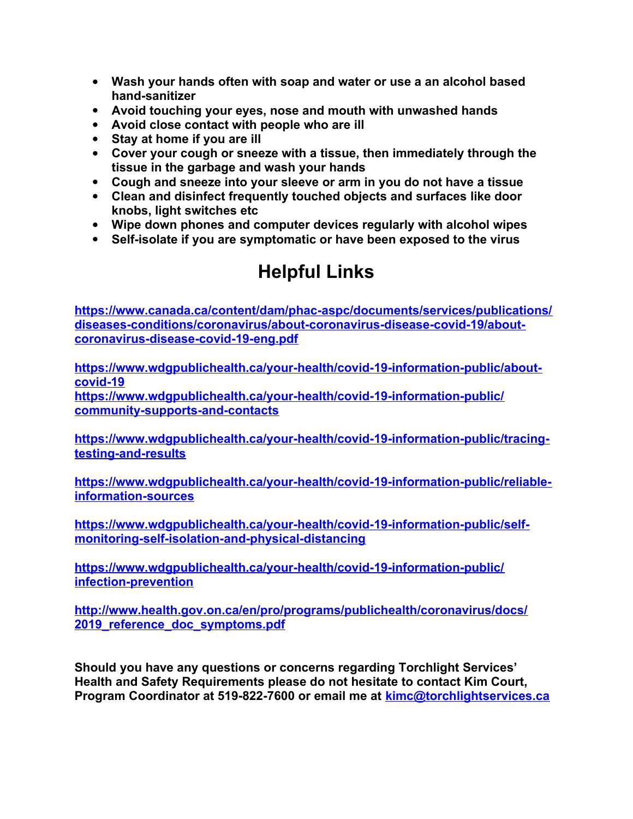- **Wash your hands often with soap and water or use a an alcohol based hand-sanitizer**
- **Avoid touching your eyes, nose and mouth with unwashed hands**
- **Avoid close contact with people who are ill**
- **Stay at home if you are ill**
- **Cover your cough or sneeze with a tissue, then immediately through the tissue in the garbage and wash your hands**
- **Cough and sneeze into your sleeve or arm in you do not have a tissue**
- **Clean and disinfect frequently touched objects and surfaces like door knobs, light switches etc**
- **Wipe down phones and computer devices regularly with alcohol wipes**
- **Self-isolate if you are symptomatic or have been exposed to the virus**

## **Helpful Links**

**[https://www.canada.ca/content/dam/phac-aspc/documents/services/publications/](https://www.canada.ca/content/dam/phac-aspc/documents/services/publications/diseases-conditions/coronavirus/about-coronavirus-disease-covid-19/about-coronavirus-disease-covid-19-eng.pdf) [diseases-conditions/coronavirus/about-coronavirus-disease-covid-19/about](https://www.canada.ca/content/dam/phac-aspc/documents/services/publications/diseases-conditions/coronavirus/about-coronavirus-disease-covid-19/about-coronavirus-disease-covid-19-eng.pdf)[coronavirus-disease-covid-19-eng.pdf](https://www.canada.ca/content/dam/phac-aspc/documents/services/publications/diseases-conditions/coronavirus/about-coronavirus-disease-covid-19/about-coronavirus-disease-covid-19-eng.pdf)**

**[https://www.wdgpublichealth.ca/your-health/covid-19-information-public/about](https://www.wdgpublichealth.ca/your-health/covid-19-information-public/about-covid-19)[covid-19](https://www.wdgpublichealth.ca/your-health/covid-19-information-public/about-covid-19) [https://www.wdgpublichealth.ca/your-health/covid-19-information-public/](https://www.wdgpublichealth.ca/your-health/covid-19-information-public/community-supports-and-contacts) [community-supports-and-contacts](https://www.wdgpublichealth.ca/your-health/covid-19-information-public/community-supports-and-contacts)**

**[https://www.wdgpublichealth.ca/your-health/covid-19-information-public/tracing](https://www.wdgpublichealth.ca/your-health/covid-19-information-public/tracing-testing-and-results)[testing-and-results](https://www.wdgpublichealth.ca/your-health/covid-19-information-public/tracing-testing-and-results)**

**[https://www.wdgpublichealth.ca/your-health/covid-19-information-public/reliable](https://www.wdgpublichealth.ca/your-health/covid-19-information-public/reliable-information-sources)[information-sources](https://www.wdgpublichealth.ca/your-health/covid-19-information-public/reliable-information-sources)**

**[https://www.wdgpublichealth.ca/your-health/covid-19-information-public/self](https://www.wdgpublichealth.ca/your-health/covid-19-information-public/self-monitoring-self-isolation-and-physical-distancing)[monitoring-self-isolation-and-physical-distancing](https://www.wdgpublichealth.ca/your-health/covid-19-information-public/self-monitoring-self-isolation-and-physical-distancing)**

**[https://www.wdgpublichealth.ca/your-health/covid-19-information-public/](https://www.wdgpublichealth.ca/your-health/covid-19-information-public/infection-prevention) [infection-prevention](https://www.wdgpublichealth.ca/your-health/covid-19-information-public/infection-prevention)**

**[http://www.health.gov.on.ca/en/pro/programs/publichealth/coronavirus/docs/](http://www.health.gov.on.ca/en/pro/programs/publichealth/coronavirus/docs/2019_reference_doc_symptoms.pdf) [2019\\_reference\\_doc\\_symptoms.pdf](http://www.health.gov.on.ca/en/pro/programs/publichealth/coronavirus/docs/2019_reference_doc_symptoms.pdf)**

**Should you have any questions or concerns regarding Torchlight Services' Health and Safety Requirements please do not hesitate to contact Kim Court, Program Coordinator at 519-822-7600 or email me at [kimc@torchlightservices.ca](mailto:kimc@torchlightservices.ca)**